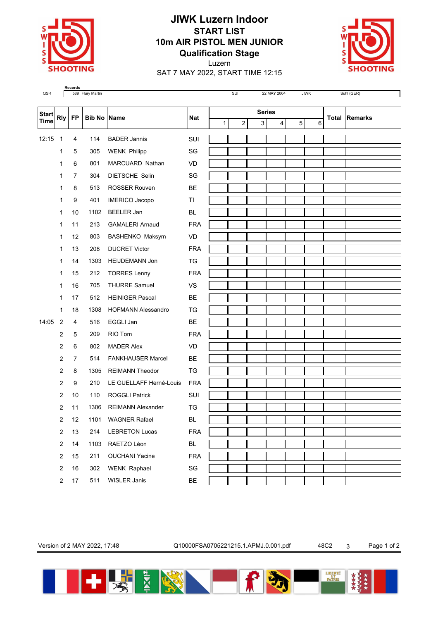

## **JIWK Luzern Indoor START LIST 10m AIR PISTOL MEN JUNIOR Qualification Stage**



Luzern SAT 7 MAY 2022, START TIME 12:15

**Records**<br>QSR 589 Flury Martin Suhl (GER) → SUI 22 MAY 2004 JIWK Suhl (GER)

| <b>Start</b><br><b>Time</b> | <b>Rly</b>              | <b>FP</b>      | <b>Bib No Name</b> |                           | <b>Nat</b>              | <b>Series</b> |  |                |   |   |   |  |   |                      |
|-----------------------------|-------------------------|----------------|--------------------|---------------------------|-------------------------|---------------|--|----------------|---|---|---|--|---|----------------------|
|                             |                         |                |                    |                           |                         | $\mathbf{1}$  |  | $\overline{c}$ | 3 | 4 | 5 |  | 6 | <b>Total Remarks</b> |
| 12:15                       | $\overline{1}$          | 4              | 114                | <b>BADER Jannis</b>       | SUI                     |               |  |                |   |   |   |  |   |                      |
|                             | 1                       | 5              | 305                | <b>WENK Philipp</b>       | SG                      |               |  |                |   |   |   |  |   |                      |
|                             | 1                       | 6              | 801                | MARCUARD Nathan           | VD                      |               |  |                |   |   |   |  |   |                      |
|                             | 1                       | 7              | 304                | DIETSCHE Selin            | SG                      |               |  |                |   |   |   |  |   |                      |
|                             | 1                       | 8              | 513                | <b>ROSSER Rouven</b>      | BE                      |               |  |                |   |   |   |  |   |                      |
|                             | 1                       | 9              | 401                | <b>IMERICO Jacopo</b>     | TI                      |               |  |                |   |   |   |  |   |                      |
|                             | 1                       | 10             | 1102               | <b>BEELER Jan</b>         | BL                      |               |  |                |   |   |   |  |   |                      |
|                             | 1                       | 11             | 213                | <b>GAMALERI Arnaud</b>    | <b>FRA</b>              |               |  |                |   |   |   |  |   |                      |
|                             | 1                       | 12             | 803                | BASHENKO Maksym           | <b>VD</b>               |               |  |                |   |   |   |  |   |                      |
|                             | 1                       | 13             | 208                | <b>DUCRET Victor</b>      | <b>FRA</b>              |               |  |                |   |   |   |  |   |                      |
|                             | $\mathbf{1}$            | 14             | 1303               | <b>HEIJDEMANN Jon</b>     | TG                      |               |  |                |   |   |   |  |   |                      |
|                             | 1                       | 15             | 212                | <b>TORRES Lenny</b>       | <b>FRA</b>              |               |  |                |   |   |   |  |   |                      |
|                             | 1                       | 16             | 705                | <b>THURRE Samuel</b>      | VS                      |               |  |                |   |   |   |  |   |                      |
|                             | 1                       | 17             | 512                | <b>HEINIGER Pascal</b>    | <b>BE</b>               |               |  |                |   |   |   |  |   |                      |
|                             | 1                       | 18             | 1308               | <b>HOFMANN Alessandro</b> | TG                      |               |  |                |   |   |   |  |   |                      |
| 14:05                       | $\overline{2}$          | 4              | 516                | EGGLI Jan                 | <b>BE</b>               |               |  |                |   |   |   |  |   |                      |
|                             | 2                       | 5              | 209                | RIO Tom                   | <b>FRA</b>              |               |  |                |   |   |   |  |   |                      |
|                             | 2                       | 6              | 802                | <b>MADER Alex</b>         | <b>VD</b>               |               |  |                |   |   |   |  |   |                      |
|                             | $\overline{2}$          | $\overline{7}$ | 514                | <b>FANKHAUSER Marcel</b>  | <b>BE</b>               |               |  |                |   |   |   |  |   |                      |
|                             | 2                       | 8              | 1305               | <b>REIMANN Theodor</b>    | TG                      |               |  |                |   |   |   |  |   |                      |
|                             | $\overline{2}$          | 9              | 210                | LE GUELLAFF Herné-Louis   | <b>FRA</b>              |               |  |                |   |   |   |  |   |                      |
|                             | 2                       | 10             | 110                | <b>ROGGLI Patrick</b>     | SUI                     |               |  |                |   |   |   |  |   |                      |
|                             | $\overline{2}$          | 11             | 1306               | <b>REIMANN Alexander</b>  | TG                      |               |  |                |   |   |   |  |   |                      |
|                             | $\overline{2}$          | 12             | 1101               | <b>WAGNER Rafael</b>      | BL                      |               |  |                |   |   |   |  |   |                      |
|                             | $\overline{\mathbf{c}}$ | 13             | 214                | <b>LEBRETON Lucas</b>     | <b>FRA</b>              |               |  |                |   |   |   |  |   |                      |
|                             | $\sqrt{2}$              | 14             | 1103               | RAETZO Léon               | <b>BL</b>               |               |  |                |   |   |   |  |   |                      |
|                             | $\sqrt{2}$              | 15             | 211                | <b>OUCHANI Yacine</b>     | <b>FRA</b>              |               |  |                |   |   |   |  |   |                      |
|                             | $\sqrt{2}$              | 16             | 302                | <b>WENK Raphael</b>       | $\operatorname{\sf SG}$ |               |  |                |   |   |   |  |   |                      |
|                             | $\boldsymbol{2}$        | $17$           | 511                | WISLER Janis              | BE                      |               |  |                |   |   |   |  |   |                      |

Version of 2 MAY 2022, 17:48 Q10000FSA0705221215.1.APMJ.0.001.pdf 48C2 3 Page 1 of 2